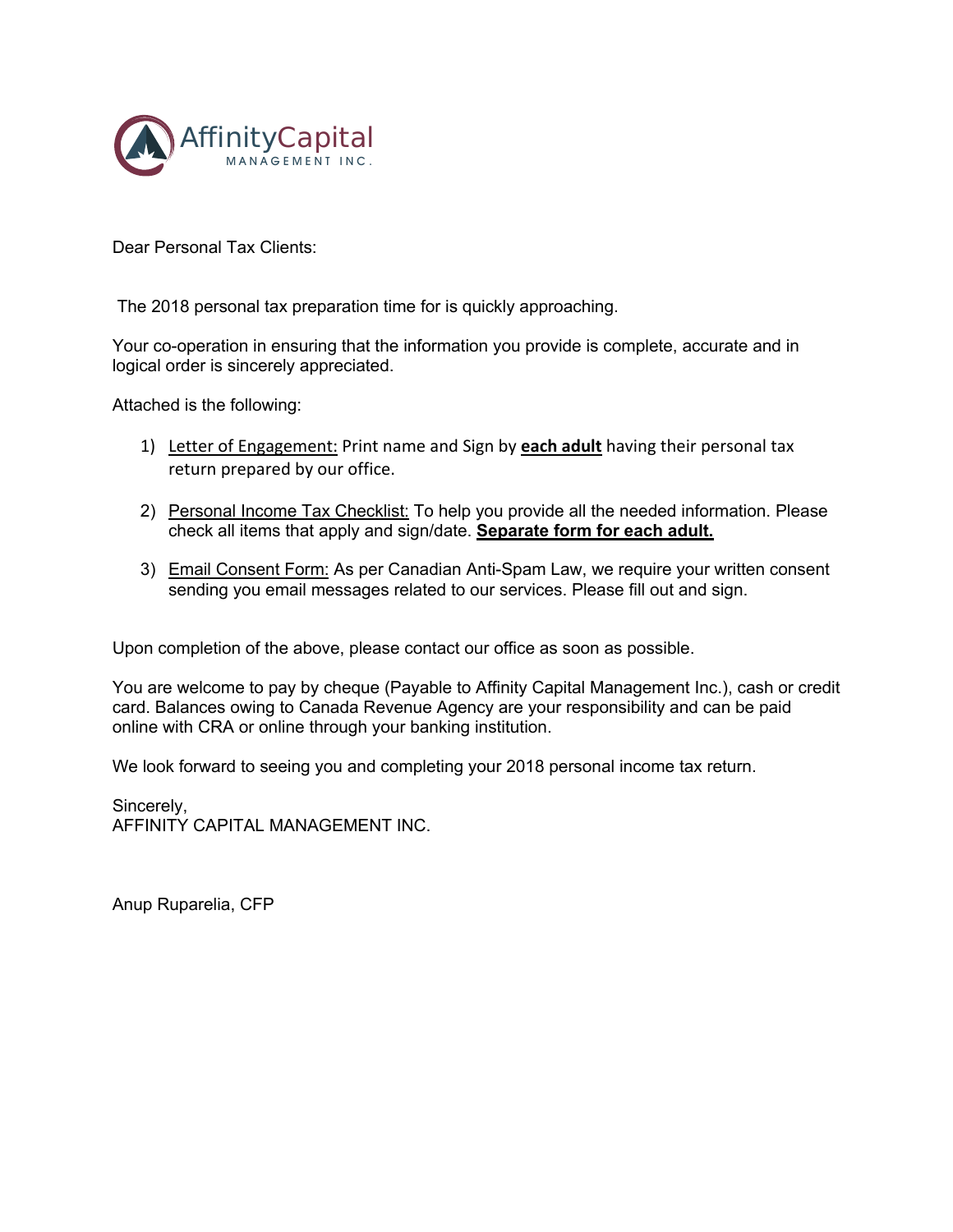

Dear Personal Tax Clients:

The 2018 personal tax preparation time for is quickly approaching.

Your co-operation in ensuring that the information you provide is complete, accurate and in logical order is sincerely appreciated.

Attached is the following:

- 1) Letter of Engagement: Print name and Sign by **each adult** having their personal tax return prepared by our office.
- 2) Personal Income Tax Checklist: To help you provide all the needed information. Please check all items that apply and sign/date. **Separate form for each adult.**
- 3) Email Consent Form: As per Canadian Anti-Spam Law, we require your written consent sending you email messages related to our services. Please fill out and sign.

Upon completion of the above, please contact our office as soon as possible.

You are welcome to pay by cheque (Payable to Affinity Capital Management Inc.), cash or credit card. Balances owing to Canada Revenue Agency are your responsibility and can be paid online with CRA or online through your banking institution.

We look forward to seeing you and completing your 2018 personal income tax return.

Sincerely, AFFINITY CAPITAL MANAGEMENT INC.

Anup Ruparelia, CFP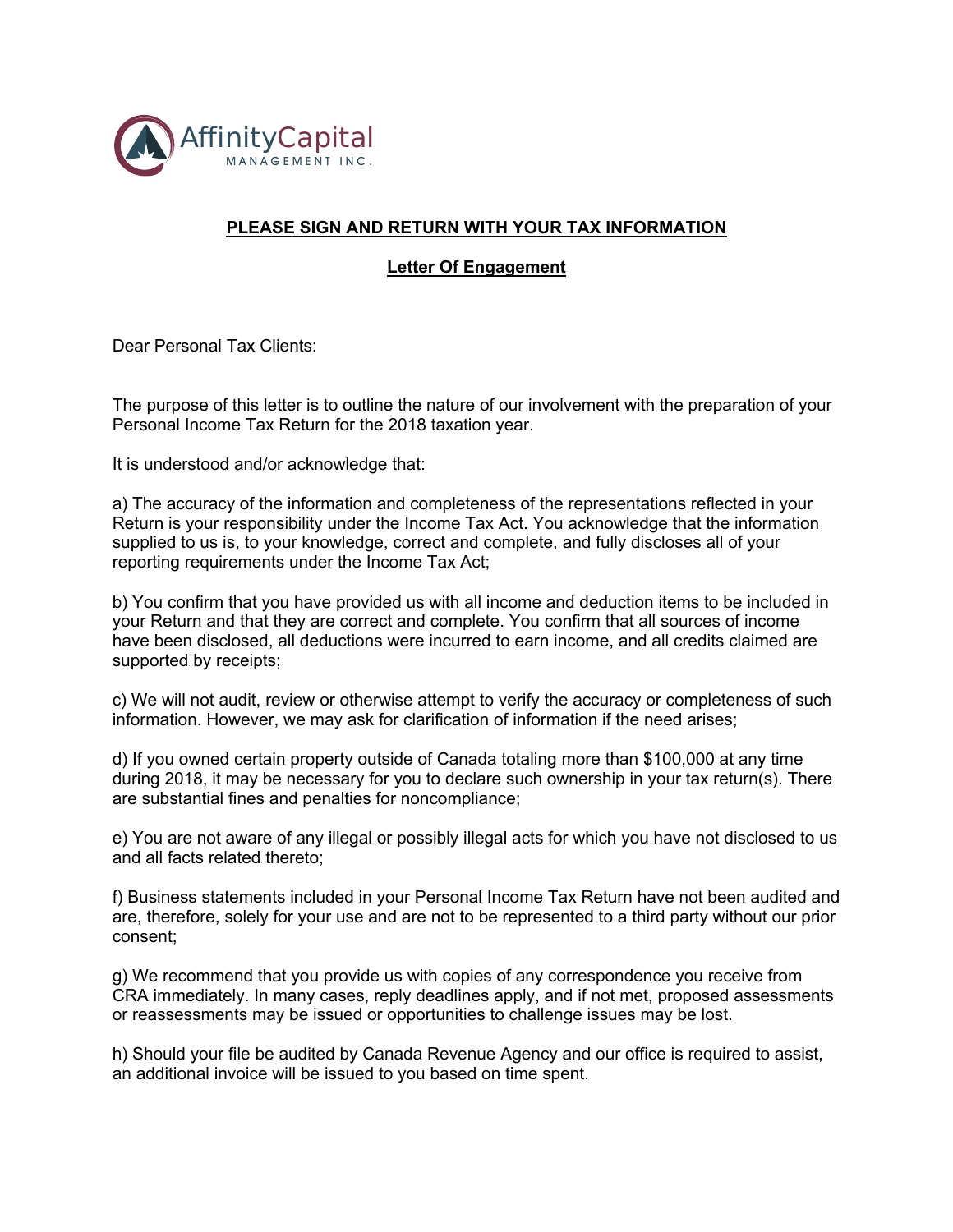

## **PLEASE SIGN AND RETURN WITH YOUR TAX INFORMATION**

**Letter Of Engagement**

Dear Personal Tax Clients:

The purpose of this letter is to outline the nature of our involvement with the preparation of your Personal Income Tax Return for the 2018 taxation year.

It is understood and/or acknowledge that:

a) The accuracy of the information and completeness of the representations reflected in your Return is your responsibility under the Income Tax Act. You acknowledge that the information supplied to us is, to your knowledge, correct and complete, and fully discloses all of your reporting requirements under the Income Tax Act;

b) You confirm that you have provided us with all income and deduction items to be included in your Return and that they are correct and complete. You confirm that all sources of income have been disclosed, all deductions were incurred to earn income, and all credits claimed are supported by receipts;

c) We will not audit, review or otherwise attempt to verify the accuracy or completeness of such information. However, we may ask for clarification of information if the need arises;

d) If you owned certain property outside of Canada totaling more than \$100,000 at any time during 2018, it may be necessary for you to declare such ownership in your tax return(s). There are substantial fines and penalties for noncompliance;

e) You are not aware of any illegal or possibly illegal acts for which you have not disclosed to us and all facts related thereto;

f) Business statements included in your Personal Income Tax Return have not been audited and are, therefore, solely for your use and are not to be represented to a third party without our prior consent;

g) We recommend that you provide us with copies of any correspondence you receive from CRA immediately. In many cases, reply deadlines apply, and if not met, proposed assessments or reassessments may be issued or opportunities to challenge issues may be lost.

h) Should your file be audited by Canada Revenue Agency and our office is required to assist, an additional invoice will be issued to you based on time spent.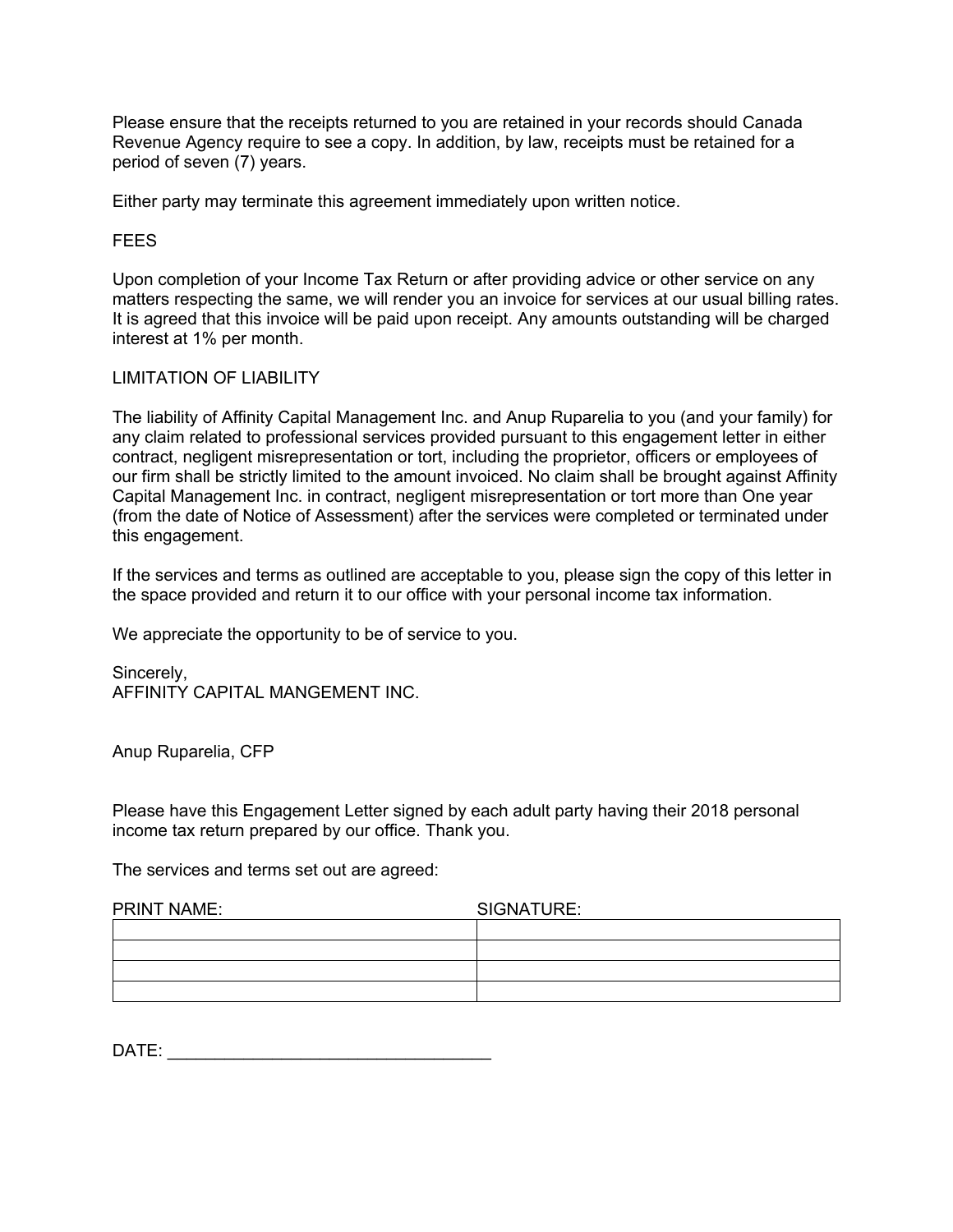Please ensure that the receipts returned to you are retained in your records should Canada Revenue Agency require to see a copy. In addition, by law, receipts must be retained for a period of seven (7) years.

Either party may terminate this agreement immediately upon written notice.

#### **FEES**

Upon completion of your Income Tax Return or after providing advice or other service on any matters respecting the same, we will render you an invoice for services at our usual billing rates. It is agreed that this invoice will be paid upon receipt. Any amounts outstanding will be charged interest at 1% per month.

#### LIMITATION OF LIABILITY

The liability of Affinity Capital Management Inc. and Anup Ruparelia to you (and your family) for any claim related to professional services provided pursuant to this engagement letter in either contract, negligent misrepresentation or tort, including the proprietor, officers or employees of our firm shall be strictly limited to the amount invoiced. No claim shall be brought against Affinity Capital Management Inc. in contract, negligent misrepresentation or tort more than One year (from the date of Notice of Assessment) after the services were completed or terminated under this engagement.

If the services and terms as outlined are acceptable to you, please sign the copy of this letter in the space provided and return it to our office with your personal income tax information.

We appreciate the opportunity to be of service to you.

Sincerely, AFFINITY CAPITAL MANGEMENT INC.

Anup Ruparelia, CFP

Please have this Engagement Letter signed by each adult party having their 2018 personal income tax return prepared by our office. Thank you.

The services and terms set out are agreed:

| <b>PRINT NAME:</b> | SIGNATURE: |  |  |
|--------------------|------------|--|--|
|                    |            |  |  |
|                    |            |  |  |
|                    |            |  |  |
|                    |            |  |  |

| <b>DATI</b><br>$\sim$<br>- |
|----------------------------|
|----------------------------|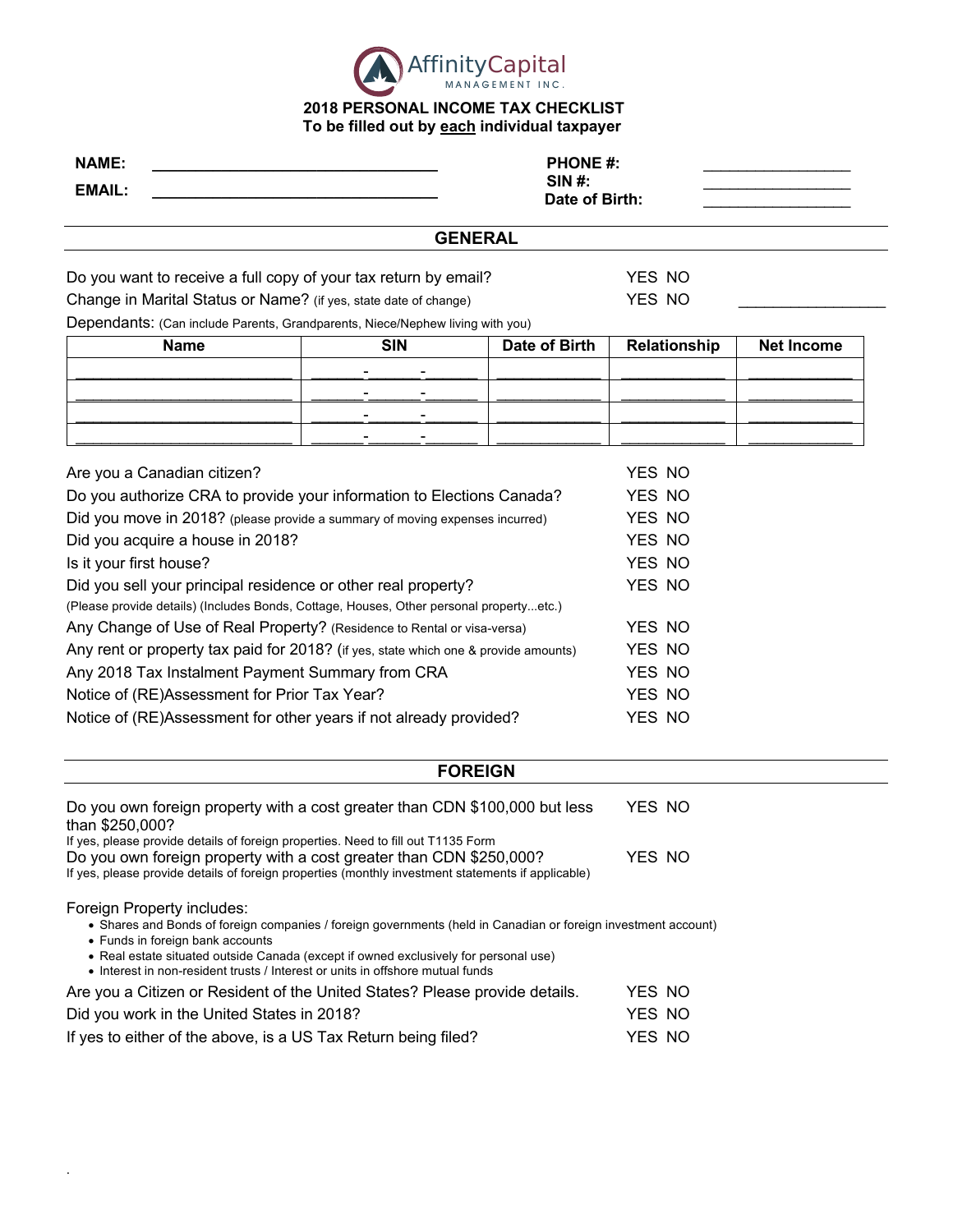

### **2018 PERSONAL INCOME TAX CHECKLIST To be filled out by each individual taxpayer**

| <b>NAME:</b><br><b>EMAIL:</b>                                                                                                                                                                                                                                                                                                                              | <b>PHONE #:</b><br><b>SIN#:</b><br>Date of Birth: |                |                  |                   |  |
|------------------------------------------------------------------------------------------------------------------------------------------------------------------------------------------------------------------------------------------------------------------------------------------------------------------------------------------------------------|---------------------------------------------------|----------------|------------------|-------------------|--|
|                                                                                                                                                                                                                                                                                                                                                            |                                                   | <b>GENERAL</b> |                  |                   |  |
| Do you want to receive a full copy of your tax return by email?<br>Change in Marital Status or Name? (if yes, state date of change)<br>Dependants: (Can include Parents, Grandparents, Niece/Nephew living with you)                                                                                                                                       |                                                   |                | YES NO<br>YES NO |                   |  |
| <b>Name</b>                                                                                                                                                                                                                                                                                                                                                | <b>SIN</b>                                        | Date of Birth  | Relationship     | <b>Net Income</b> |  |
|                                                                                                                                                                                                                                                                                                                                                            |                                                   |                |                  |                   |  |
|                                                                                                                                                                                                                                                                                                                                                            |                                                   |                |                  |                   |  |
|                                                                                                                                                                                                                                                                                                                                                            |                                                   |                |                  |                   |  |
|                                                                                                                                                                                                                                                                                                                                                            |                                                   |                |                  |                   |  |
| Are you a Canadian citizen?                                                                                                                                                                                                                                                                                                                                |                                                   |                | YES NO           |                   |  |
| Do you authorize CRA to provide your information to Elections Canada?                                                                                                                                                                                                                                                                                      |                                                   |                | YES NO           |                   |  |
| Did you move in 2018? (please provide a summary of moving expenses incurred)                                                                                                                                                                                                                                                                               |                                                   |                | YES NO           |                   |  |
| Did you acquire a house in 2018?                                                                                                                                                                                                                                                                                                                           |                                                   |                | YES NO           |                   |  |
| Is it your first house?                                                                                                                                                                                                                                                                                                                                    |                                                   |                | YES NO           |                   |  |
| Did you sell your principal residence or other real property?                                                                                                                                                                                                                                                                                              |                                                   |                | YES NO           |                   |  |
| (Please provide details) (Includes Bonds, Cottage, Houses, Other personal propertyetc.)                                                                                                                                                                                                                                                                    |                                                   |                |                  |                   |  |
| Any Change of Use of Real Property? (Residence to Rental or visa-versa)                                                                                                                                                                                                                                                                                    |                                                   |                | YES NO           |                   |  |
| Any rent or property tax paid for 2018? (if yes, state which one & provide amounts)                                                                                                                                                                                                                                                                        |                                                   |                | YES NO           |                   |  |
| Any 2018 Tax Instalment Payment Summary from CRA                                                                                                                                                                                                                                                                                                           |                                                   |                | YES NO           |                   |  |
| Notice of (RE)Assessment for Prior Tax Year?                                                                                                                                                                                                                                                                                                               |                                                   |                | YES NO           |                   |  |
| Notice of (RE)Assessment for other years if not already provided?                                                                                                                                                                                                                                                                                          |                                                   |                | YES NO           |                   |  |
|                                                                                                                                                                                                                                                                                                                                                            |                                                   | <b>FOREIGN</b> |                  |                   |  |
| Do you own foreign property with a cost greater than CDN \$100,000 but less                                                                                                                                                                                                                                                                                |                                                   |                | YES NO           |                   |  |
| than \$250,000?                                                                                                                                                                                                                                                                                                                                            |                                                   |                |                  |                   |  |
| If yes, please provide details of foreign properties. Need to fill out T1135 Form<br>Do you own foreign property with a cost greater than CDN \$250,000?<br>If yes, please provide details of foreign properties (monthly investment statements if applicable)                                                                                             |                                                   |                | YES NO           |                   |  |
| Foreign Property includes:<br>• Shares and Bonds of foreign companies / foreign governments (held in Canadian or foreign investment account)<br>• Funds in foreign bank accounts<br>• Real estate situated outside Canada (except if owned exclusively for personal use)<br>• Interest in non-resident trusts / Interest or units in offshore mutual funds |                                                   |                |                  |                   |  |

| Are you a Citizen or Resident of the United States? Please provide details. | YES NO |  |
|-----------------------------------------------------------------------------|--------|--|
| Did you work in the United States in 2018?                                  | YES NO |  |
| If yes to either of the above, is a US Tax Return being filed?              | YES NO |  |

.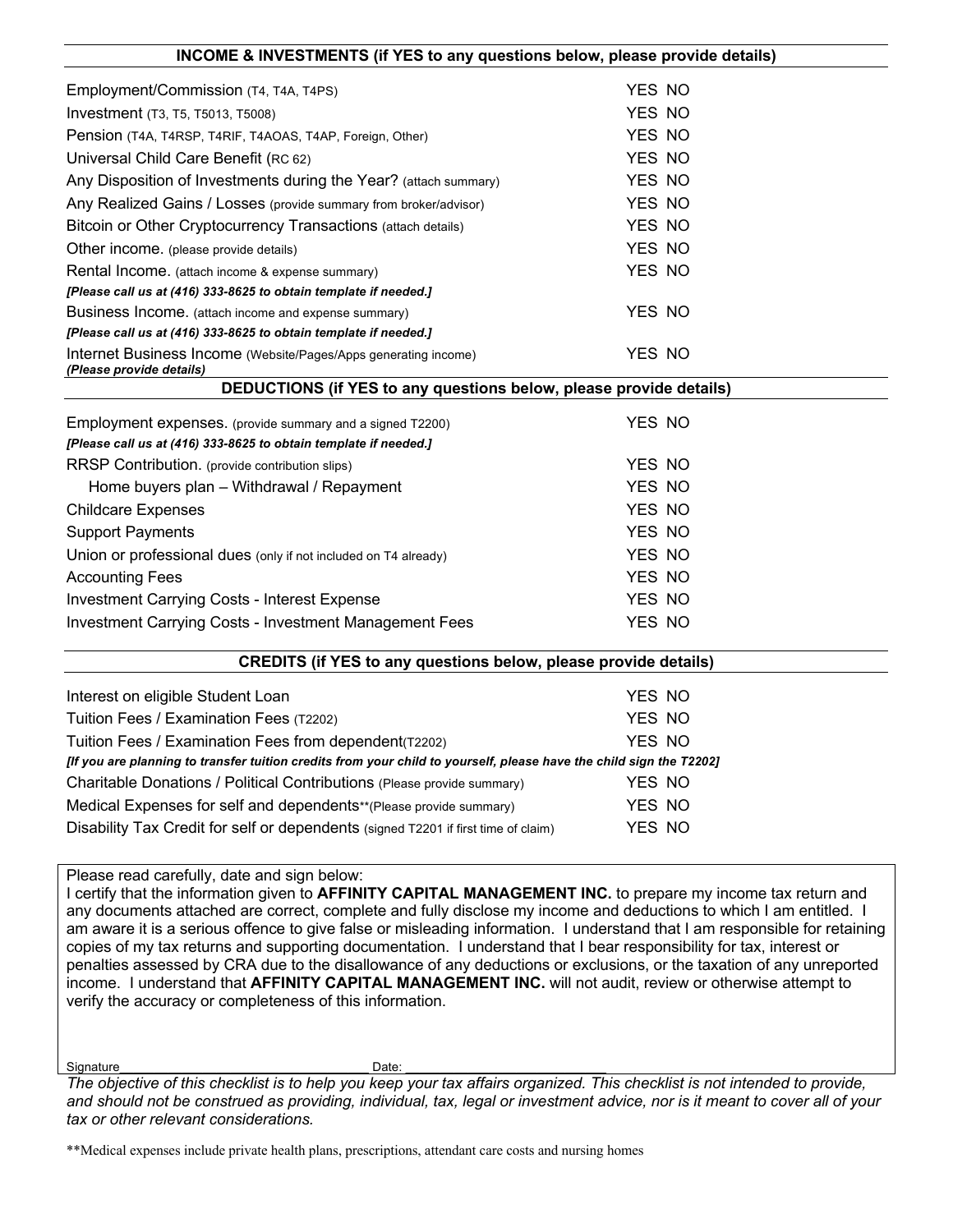| INCOME & INVESTMENTS (If TES to any questions below, please provide details)                                                  |        |  |  |  |
|-------------------------------------------------------------------------------------------------------------------------------|--------|--|--|--|
| Employment/Commission (T4, T4A, T4PS)                                                                                         | YES NO |  |  |  |
| Investment (T3, T5, T5013, T5008)                                                                                             | YES NO |  |  |  |
| Pension (T4A, T4RSP, T4RIF, T4AOAS, T4AP, Foreign, Other)                                                                     | YES NO |  |  |  |
| Universal Child Care Benefit (RC 62)                                                                                          | YES NO |  |  |  |
| Any Disposition of Investments during the Year? (attach summary)                                                              | YES NO |  |  |  |
| Any Realized Gains / Losses (provide summary from broker/advisor)                                                             | YES NO |  |  |  |
| Bitcoin or Other Cryptocurrency Transactions (attach details)                                                                 | YES NO |  |  |  |
| Other income. (please provide details)                                                                                        | YES NO |  |  |  |
| Rental Income. (attach income & expense summary)                                                                              | YES NO |  |  |  |
| [Please call us at (416) 333-8625 to obtain template if needed.]                                                              |        |  |  |  |
| Business Income. (attach income and expense summary)                                                                          | YES NO |  |  |  |
| [Please call us at (416) 333-8625 to obtain template if needed.]                                                              |        |  |  |  |
| Internet Business Income (Website/Pages/Apps generating income)<br>(Please provide details)                                   | YES NO |  |  |  |
| DEDUCTIONS (if YES to any questions below, please provide details)                                                            |        |  |  |  |
|                                                                                                                               |        |  |  |  |
| Employment expenses. (provide summary and a signed T2200)<br>[Please call us at (416) 333-8625 to obtain template if needed.] | YES NO |  |  |  |
| RRSP Contribution. (provide contribution slips)                                                                               | YES NO |  |  |  |
| Home buyers plan - Withdrawal / Repayment                                                                                     | YES NO |  |  |  |
| <b>Childcare Expenses</b>                                                                                                     | YES NO |  |  |  |
| <b>Support Payments</b>                                                                                                       | YES NO |  |  |  |
| Union or professional dues (only if not included on T4 already)                                                               | YES NO |  |  |  |
| <b>Accounting Fees</b>                                                                                                        | YES NO |  |  |  |
| <b>Investment Carrying Costs - Interest Expense</b>                                                                           | YES NO |  |  |  |
| Investment Carrying Costs - Investment Management Fees                                                                        | YES NO |  |  |  |
|                                                                                                                               |        |  |  |  |
| <b>CREDITS (if YES to any questions below, please provide details)</b>                                                        |        |  |  |  |
| Interest on eligible Student Loan                                                                                             | YES NO |  |  |  |
| Tuition Fees / Examination Fees (T2202)                                                                                       | YES NO |  |  |  |
| Tuition Fees / Examination Fees from dependent(T2202)                                                                         | YES NO |  |  |  |
| [If you are planning to transfer tuition credits from your child to yourself, please have the child sign the T2202]           |        |  |  |  |
| Charitable Donations / Political Contributions (Please provide summary)                                                       | YES NO |  |  |  |
| Medical Expenses for self and dependents**(Please provide summary)                                                            | YES NO |  |  |  |
| Disability Tax Credit for self or dependents (signed T2201 if first time of claim)                                            | YES NO |  |  |  |
|                                                                                                                               |        |  |  |  |

**INCOME & INVESTMENTS (if YES to any questions below, please provide details)**

#### Please read carefully, date and sign below:

I certify that the information given to **AFFINITY CAPITAL MANAGEMENT INC.** to prepare my income tax return and any documents attached are correct, complete and fully disclose my income and deductions to which I am entitled. I am aware it is a serious offence to give false or misleading information. I understand that I am responsible for retaining copies of my tax returns and supporting documentation. I understand that I bear responsibility for tax, interest or penalties assessed by CRA due to the disallowance of any deductions or exclusions, or the taxation of any unreported income. I understand that **AFFINITY CAPITAL MANAGEMENT INC.** will not audit, review or otherwise attempt to verify the accuracy or completeness of this information.

Signature\_\_\_\_\_\_\_\_\_\_\_\_\_\_\_\_\_\_\_\_\_\_\_\_\_\_\_\_\_\_\_\_\_\_\_\_ Date: \_\_\_\_\_\_\_\_\_\_\_\_\_\_\_\_\_\_\_\_\_\_\_\_\_\_\_\_\_

*The objective of this checklist is to help you keep your tax affairs organized. This checklist is not intended to provide, and should not be construed as providing, individual, tax, legal or investment advice, nor is it meant to cover all of your tax or other relevant considerations.*

\*\*Medical expenses include private health plans, prescriptions, attendant care costs and nursing homes